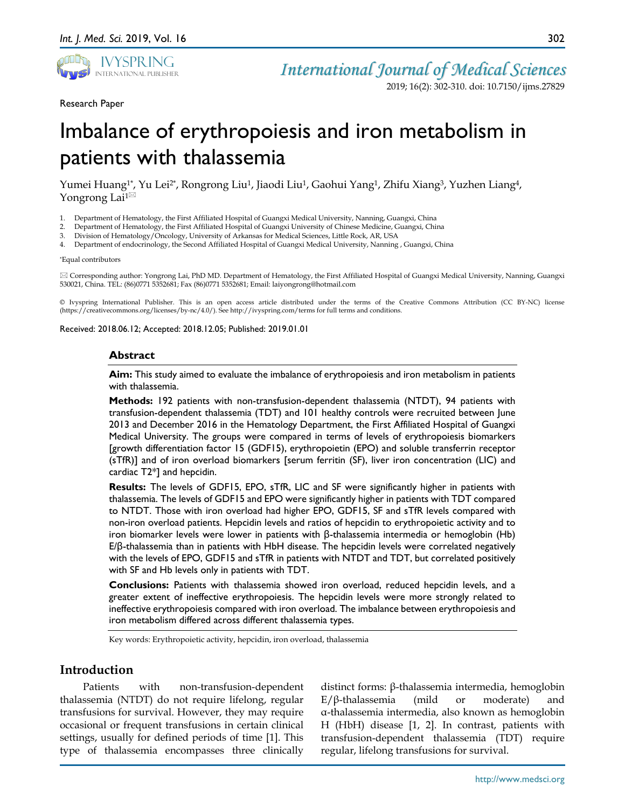

2019; 16(2): 302-310. doi: 10.7150/ijms.27829

#### Research Paper

# Imbalance of erythropoiesis and iron metabolism in patients with thalassemia

Yumei Huang<sup>1\*</sup>, Yu Lei<sup>2\*</sup>, Rongrong Liu<sup>1</sup>, Jiaodi Liu<sup>1</sup>, Gaohui Yang<sup>1</sup>, Zhifu Xiang<sup>3</sup>, Yuzhen Liang<sup>4</sup>, Yongrong Lai $1^{\boxtimes}$ 

- 1. Department of Hematology, the First Affiliated Hospital of Guangxi Medical University, Nanning, Guangxi, China
- 2. Department of Hematology, the First Affiliated Hospital of Guangxi University of Chinese Medicine, Guangxi, China
- 3. Division of Hematology/Oncology, University of Arkansas for Medical Sciences, Little Rock, AR, USA
- 4. Department of endocrinology, the Second Affiliated Hospital of Guangxi Medical University, Nanning , Guangxi, China

#### \*Equal contributors

 Corresponding author: Yongrong Lai, PhD MD. Department of Hematology, the First Affiliated Hospital of Guangxi Medical University, Nanning, Guangxi 530021, China. TEL: (86)0771 5352681; Fax (86)0771 5352681; Email: laiyongrong@hotmail.com

© Ivyspring International Publisher. This is an open access article distributed under the terms of the Creative Commons Attribution (CC BY-NC) license (https://creativecommons.org/licenses/by-nc/4.0/). See http://ivyspring.com/terms for full terms and conditions.

#### Received: 2018.06.12; Accepted: 2018.12.05; Published: 2019.01.01

#### **Abstract**

**Aim:** This study aimed to evaluate the imbalance of erythropoiesis and iron metabolism in patients with thalassemia.

**Methods:** 192 patients with non-transfusion-dependent thalassemia (NTDT), 94 patients with transfusion-dependent thalassemia (TDT) and 101 healthy controls were recruited between June 2013 and December 2016 in the Hematology Department, the First Affiliated Hospital of Guangxi Medical University. The groups were compared in terms of levels of erythropoiesis biomarkers [growth differentiation factor 15 (GDF15), erythropoietin (EPO) and soluble transferrin receptor (sTfR)] and of iron overload biomarkers [serum ferritin (SF), liver iron concentration (LIC) and cardiac T2\*] and hepcidin.

**Results:** The levels of GDF15, EPO, sTfR, LIC and SF were significantly higher in patients with thalassemia. The levels of GDF15 and EPO were significantly higher in patients with TDT compared to NTDT. Those with iron overload had higher EPO, GDF15, SF and sTfR levels compared with non-iron overload patients. Hepcidin levels and ratios of hepcidin to erythropoietic activity and to iron biomarker levels were lower in patients with β-thalassemia intermedia or hemoglobin (Hb) E/β-thalassemia than in patients with HbH disease. The hepcidin levels were correlated negatively with the levels of EPO, GDF15 and sTfR in patients with NTDT and TDT, but correlated positively with SF and Hb levels only in patients with TDT.

**Conclusions:** Patients with thalassemia showed iron overload, reduced hepcidin levels, and a greater extent of ineffective erythropoiesis. The hepcidin levels were more strongly related to ineffective erythropoiesis compared with iron overload. The imbalance between erythropoiesis and iron metabolism differed across different thalassemia types.

Key words: Erythropoietic activity, hepcidin, iron overload, thalassemia

# **Introduction**

Patients with non-transfusion-dependent thalassemia (NTDT) do not require lifelong, regular transfusions for survival. However, they may require occasional or frequent transfusions in certain clinical settings, usually for defined periods of time [1]. This type of thalassemia encompasses three clinically

distinct forms: β-thalassemia intermedia, hemoglobin E/β-thalassemia (mild or moderate) and α-thalassemia intermedia, also known as hemoglobin H (HbH) disease [1, 2]. In contrast, patients with transfusion-dependent thalassemia (TDT) require regular, lifelong transfusions for survival.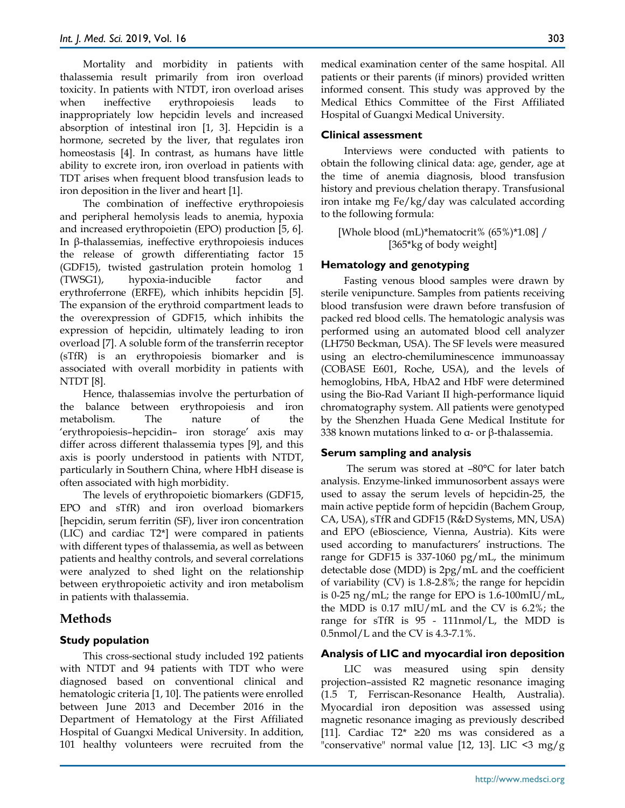Mortality and morbidity in patients with thalassemia result primarily from iron overload toxicity. In patients with NTDT, iron overload arises when ineffective erythropoiesis leads to inappropriately low hepcidin levels and increased absorption of intestinal iron [1, 3]. Hepcidin is a hormone, secreted by the liver, that regulates iron homeostasis [4]. In contrast, as humans have little ability to excrete iron, iron overload in patients with TDT arises when frequent blood transfusion leads to iron deposition in the liver and heart [1].

The combination of ineffective erythropoiesis and peripheral hemolysis leads to anemia, hypoxia and increased erythropoietin (EPO) production [5, 6]. In β-thalassemias, ineffective erythropoiesis induces the release of growth differentiating factor 15 (GDF15), twisted gastrulation protein homolog 1 (TWSG1), hypoxia-inducible factor and erythroferrone (ERFE), which inhibits hepcidin [5]. The expansion of the erythroid compartment leads to the overexpression of GDF15, which inhibits the expression of hepcidin, ultimately leading to iron overload [7]. A soluble form of the transferrin receptor (sTfR) is an erythropoiesis biomarker and is associated with overall morbidity in patients with NTDT [8].

Hence, thalassemias involve the perturbation of the balance between erythropoiesis and iron metabolism. The nature of the 'erythropoiesis–hepcidin– iron storage' axis may differ across different thalassemia types [9], and this axis is poorly understood in patients with NTDT, particularly in Southern China, where HbH disease is often associated with high morbidity.

The levels of erythropoietic biomarkers (GDF15, EPO and sTfR) and iron overload biomarkers [hepcidin, serum ferritin (SF), liver iron concentration (LIC) and cardiac T2\*] were compared in patients with different types of thalassemia, as well as between patients and healthy controls, and several correlations were analyzed to shed light on the relationship between erythropoietic activity and iron metabolism in patients with thalassemia.

# **Methods**

# **Study population**

This cross-sectional study included 192 patients with NTDT and 94 patients with TDT who were diagnosed based on conventional clinical and hematologic criteria [1, 10]. The patients were enrolled between June 2013 and December 2016 in the Department of Hematology at the First Affiliated Hospital of Guangxi Medical University. In addition, 101 healthy volunteers were recruited from the medical examination center of the same hospital. All patients or their parents (if minors) provided written informed consent. This study was approved by the Medical Ethics Committee of the First Affiliated Hospital of Guangxi Medical University.

#### **Clinical assessment**

Interviews were conducted with patients to obtain the following clinical data: age, gender, age at the time of anemia diagnosis, blood transfusion history and previous chelation therapy. Transfusional iron intake mg Fe/kg/day was calculated according to the following formula:

[Whole blood (mL)\*hematocrit% (65%)\*1.08] / [365\*kg of body weight]

# **Hematology and genotyping**

Fasting venous blood samples were drawn by sterile venipuncture. Samples from patients receiving blood transfusion were drawn before transfusion of packed red blood cells. The hematologic analysis was performed using an automated blood cell analyzer (LH750 Beckman, USA). The SF levels were measured using an electro-chemiluminescence immunoassay (COBASE E601, Roche, USA), and the levels of hemoglobins, HbA, HbA2 and HbF were determined using the Bio-Rad Variant II high-performance liquid chromatography system. All patients were genotyped by the Shenzhen Huada Gene Medical Institute for 338 known mutations linked to  $α$ - or  $β$ -thalassemia.

#### **Serum sampling and analysis**

The serum was stored at –80°C for later batch analysis. Enzyme-linked immunosorbent assays were used to assay the serum levels of hepcidin-25, the main active peptide form of hepcidin (Bachem Group, CA, USA), sTfR and GDF15 (R&D Systems, MN, USA) and EPO (eBioscience, Vienna, Austria). Kits were used according to manufacturers' instructions. The range for GDF15 is 337-1060 pg/mL, the minimum detectable dose (MDD) is 2pg/mL and the coefficient of variability (CV) is 1.8-2.8%; the range for hepcidin is 0-25 ng/mL; the range for EPO is 1.6-100mIU/mL, the MDD is 0.17 mIU/mL and the CV is 6.2%; the range for sTfR is 95 - 111nmol/L, the MDD is  $0.5$ nmol/L and the CV is  $4.3$ -7.1%.

# **Analysis of LIC and myocardial iron deposition**

LIC was measured using spin density projection–assisted R2 magnetic resonance imaging (1.5 T, Ferriscan-Resonance Health, Australia). Myocardial iron deposition was assessed using magnetic resonance imaging as previously described [11]. Cardiac T2\* ≥20 ms was considered as a "conservative" normal value [12, 13]. LIC  $\leq$ 3 mg/g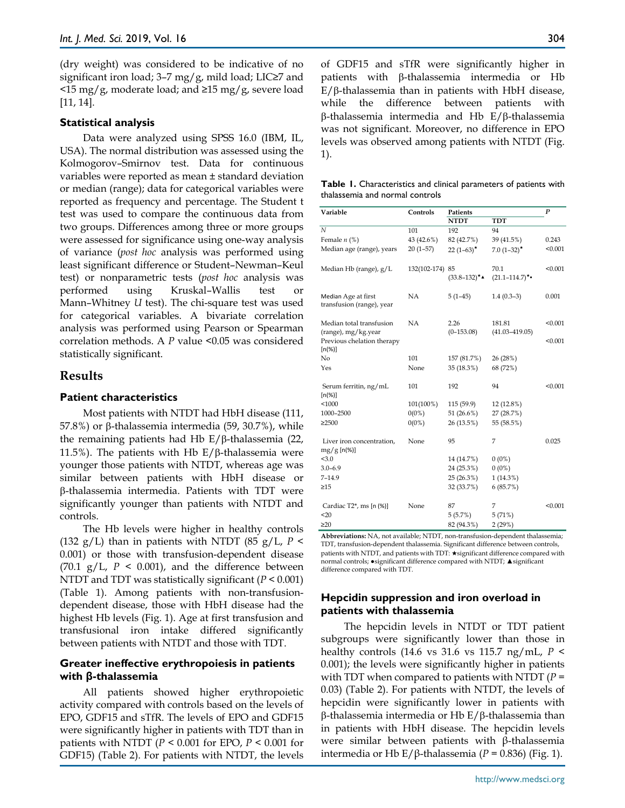(dry weight) was considered to be indicative of no significant iron load;  $3-7$  mg/g, mild load; LIC $\geq 7$  and <15 mg/g, moderate load; and ≥15 mg/g, severe load [11, 14].

#### **Statistical analysis**

Data were analyzed using SPSS 16.0 (IBM, IL, USA). The normal distribution was assessed using the Kolmogorov–Smirnov test. Data for continuous variables were reported as mean ± standard deviation or median (range); data for categorical variables were reported as frequency and percentage. The Student t test was used to compare the continuous data from two groups. Differences among three or more groups were assessed for significance using one-way analysis of variance (*post hoc* analysis was performed using least significant difference or Student–Newman–Keul test) or nonparametric tests (*post hoc* analysis was performed using Kruskal–Wallis test or Mann–Whitney *U* test). The chi-square test was used for categorical variables. A bivariate correlation analysis was performed using Pearson or Spearman correlation methods. A *P* value <0.05 was considered statistically significant.

# **Results**

#### **Patient characteristics**

Most patients with NTDT had HbH disease (111, 57.8%) or β-thalassemia intermedia (59, 30.7%), while the remaining patients had Hb E/β-thalassemia (22, 11.5%). The patients with Hb  $E/\beta$ -thalassemia were younger those patients with NTDT, whereas age was similar between patients with HbH disease or β-thalassemia intermedia. Patients with TDT were significantly younger than patients with NTDT and controls.

The Hb levels were higher in healthy controls (132 g/L) than in patients with NTDT (85 g/L,  $P$  < 0.001) or those with transfusion-dependent disease  $(70.1 \text{ g/L}, P \leq 0.001)$ , and the difference between NTDT and TDT was statistically significant (*P* < 0.001) (Table 1). Among patients with non-transfusiondependent disease, those with HbH disease had the highest Hb levels (Fig. 1). Age at first transfusion and transfusional iron intake differed significantly between patients with NTDT and those with TDT.

# **Greater ineffective erythropoiesis in patients with β-thalassemia**

All patients showed higher erythropoietic activity compared with controls based on the levels of EPO, GDF15 and sTfR. The levels of EPO and GDF15 were significantly higher in patients with TDT than in patients with NTDT (*P* < 0.001 for EPO, *P* < 0.001 for GDF15) (Table 2). For patients with NTDT, the levels of GDF15 and sTfR were significantly higher in patients with β-thalassemia intermedia or Hb E/β-thalassemia than in patients with HbH disease, while the difference between patients with β-thalassemia intermedia and Hb E/β-thalassemia was not significant. Moreover, no difference in EPO levels was observed among patients with NTDT (Fig. 1).

| Table 1. Characteristics and clinical parameters of patients with |  |  |
|-------------------------------------------------------------------|--|--|
| thalassemia and normal controls                                   |  |  |

| Variable                                         | Controls        | Patients             | P                            |         |
|--------------------------------------------------|-----------------|----------------------|------------------------------|---------|
|                                                  |                 | <b>NTDT</b>          | <b>TDT</b>                   |         |
| $\mathcal N$                                     | 101             | 192                  | 94                           |         |
| Female $n$ (%)                                   | 43 (42.6%)      | 82 (42.7%)           | 39 (41.5%)                   | 0.243   |
| Median age (range), years                        | $20(1-57)$      | 22 $(1-63)^*$        | $7.0(1-32)$ *                | < 0.001 |
| Median Hb (range), g/L                           | 132(102-174) 85 | $(33.8 - 132)^{*}$   | 70.1<br>$(21.1 - 114.7)$ *•  | < 0.001 |
| Median Age at first<br>transfusion (range), year | NA              | $5(1-45)$            | $1.4(0.3-3)$                 | 0.001   |
| Median total transfusion<br>(range), mg/kg.year  | <b>NA</b>       | 2.26<br>$(0-153.08)$ | 181.81<br>$(41.03 - 419.05)$ | < 0.001 |
| Previous chelation therapy<br>$[n(\%)]$          |                 |                      |                              | < 0.001 |
| No                                               | 101             | 157 (81.7%)          | 26 (28%)                     |         |
| Yes                                              | None            | 35 (18.3%)           | 68 (72%)                     |         |
| Serum ferritin, ng/mL<br>$[n(\%)]$               | 101             | 192                  | 94                           | < 0.001 |
| < 1000                                           | 101(100%)       | 115(59.9)            | 12 (12.8%)                   |         |
| 1000-2500                                        | $0(0\%)$        | 51 (26.6%)           | 27 (28.7%)                   |         |
| $\geq$ 2500                                      | $0(0\%)$        | 26 (13.5%)           | 55 (58.5%)                   |         |
| Liver iron concentration,<br>$mg/g$ [n(%)]       | None            | 95                   | 7                            | 0.025   |
| < 3.0                                            |                 | 14 (14.7%)           | $0(0\%)$                     |         |
| $3.0 - 6.9$                                      |                 | 24 (25.3%)           | $0(0\%)$                     |         |
| $7 - 14.9$                                       |                 | 25(26.3%)            | $1(14.3\%)$                  |         |
| $\geq 15$                                        |                 | 32 (33.7%)           | 6(85.7%)                     |         |
| Cardiac $T2^*$ , ms [n $(\%)$ ]                  | None            | 87                   | 7                            | < 0.001 |
| $20$                                             |                 | 5(5.7%)              | 5(71%)                       |         |
| $\geq 20$                                        |                 | 82 (94.3%)           | 2(29%)                       |         |

**Abbreviations:** NA, not available; NTDT, non-transfusion-dependent thalassemia; TDT, transfusion-dependent thalassemia. Significant difference between controls, patients with NTDT, and patients with TDT:  $\bigstar$  significant difference compared with normal controls; ●significant difference compared with NTDT; ▲significant difference compared with TDT.

# **Hepcidin suppression and iron overload in patients with thalassemia**

The hepcidin levels in NTDT or TDT patient subgroups were significantly lower than those in healthy controls (14.6 vs 31.6 vs 115.7 ng/mL, *P* < 0.001); the levels were significantly higher in patients with TDT when compared to patients with NTDT (*P* = 0.03) (Table 2). For patients with NTDT, the levels of hepcidin were significantly lower in patients with β-thalassemia intermedia or Hb E/β-thalassemia than in patients with HbH disease. The hepcidin levels were similar between patients with β-thalassemia intermedia or Hb E/β-thalassemia ( $P = 0.836$ ) (Fig. 1).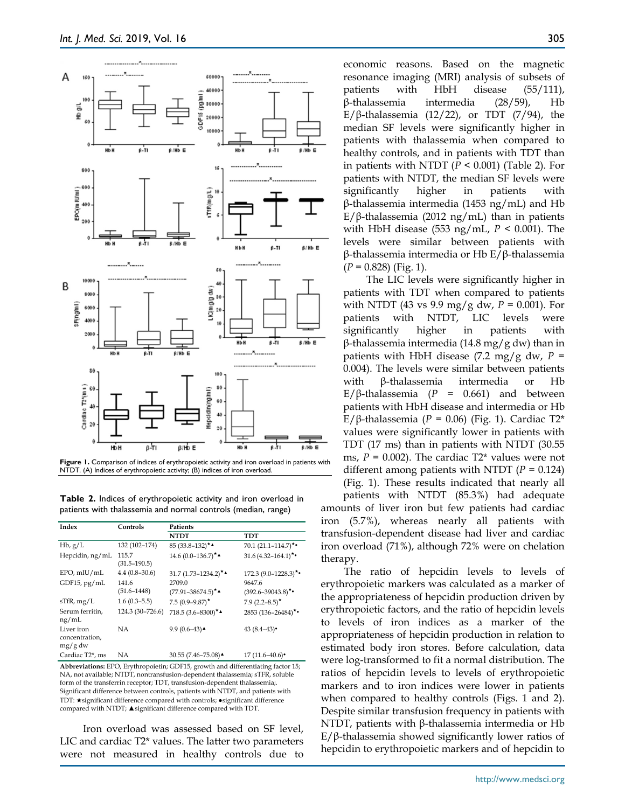

**Figure 1.** Comparison of indices of erythropoietic activity and iron overload in patients with NTDT. (A) Indices of erythropoietic activity; (B) indices of iron overload.

**Table 2.** Indices of erythropoietic activity and iron overload in patients with thalassemia and normal controls (median, range)

| Index                                   | Controls                  | Patients                       |                               |  |  |  |  |  |
|-----------------------------------------|---------------------------|--------------------------------|-------------------------------|--|--|--|--|--|
|                                         |                           | <b>NTDT</b>                    | TDT                           |  |  |  |  |  |
| $Hb$ , $g/L$                            | 132 (102-174)             | 85 $(33.8-132)$ <sup>*</sup>   | $70.1 (21.1 - 114.7)^{\star}$ |  |  |  |  |  |
| Hepcidin, ng/mL                         | 115.7<br>$(31.5 - 190.5)$ | $14.6(0.0-136.7)$ *            | $31.6(4.32 - 164.1)^{\star}$  |  |  |  |  |  |
| EPO, mIU/mL                             | $4.4(0.8-30.6)$           | 31.7 $(1.73 - 1234.2)^{*}$     | $172.3(9.0-1228.3)$ *•        |  |  |  |  |  |
| GDF15, pg/mL                            | 141.6                     | 2709.0                         | 9647.6                        |  |  |  |  |  |
|                                         | $(51.6 - 1448)$           | $(77.91 - 38674.5)^{\star}$    | $(392.6 - 39043.8)^{\star}$   |  |  |  |  |  |
| $s$ TfR, mg/L                           | $1.6(0.3-5.5)$            | $7.5(0.9 - 9.87)$ *            | $7.9(2.2 - 8.5)^*$            |  |  |  |  |  |
| Serum ferritin.<br>ng/mL                | 124.3 (30-726.6)          | 718.5 $(3.6 - 8300)^{\star}$   | 2853 (136-26484)*•            |  |  |  |  |  |
| Liver iron<br>concentration,<br>mg/g dw | NΑ                        | 9.9 $(0.6-43)$ $\triangle$     | 43 $(8.4-43)$                 |  |  |  |  |  |
| Cardiac T <sub>2</sub> *, ms            | NA                        | 30.55 (7.46-75.08) $\triangle$ | $17(11.6-40.6)$               |  |  |  |  |  |

**Abbreviations:** EPO, Erythropoietin; GDF15, growth and differentiating factor 15; NA, not available; NTDT, nontransfusion-dependent thalassemia; sTFR, soluble form of the transferrin receptor; TDT, transfusion-dependent thalassemia;. Significant difference between controls, patients with NTDT, and patients with TDT: ★significant difference compared with controls; ●significant difference compared with NTDT; ▲significant difference compared with TDT.

Iron overload was assessed based on SF level, LIC and cardiac T2\* values. The latter two parameters were not measured in healthy controls due to economic reasons. Based on the magnetic resonance imaging (MRI) analysis of subsets of patients with HbH disease (55/111), β-thalassemia intermedia (28/59), Hb E/β-thalassemia (12/22), or TDT (7/94), the median SF levels were significantly higher in patients with thalassemia when compared to healthy controls, and in patients with TDT than in patients with NTDT  $(P < 0.001)$  (Table 2). For patients with NTDT, the median SF levels were significantly higher in patients with β-thalassemia intermedia (1453 ng/mL) and Hb E/β-thalassemia (2012 ng/mL) than in patients with HbH disease (553 ng/mL, *P* < 0.001). The levels were similar between patients with β-thalassemia intermedia or Hb E/β-thalassemia (*P* = 0.828) (Fig. 1).

The LIC levels were significantly higher in patients with TDT when compared to patients with NTDT (43 vs 9.9 mg/g dw, *P* = 0.001). For patients with NTDT, LIC levels were significantly higher in patients with β-thalassemia intermedia (14.8 mg/g dw) than in patients with HbH disease  $(7.2 \text{ mg/g dw}, P =$ 0.004). The levels were similar between patients with β-thalassemia intermedia or Hb E/β-thalassemia ( $P = 0.661$ ) and between patients with HbH disease and intermedia or Hb E/β-thalassemia ( $P = 0.06$ ) (Fig. 1). Cardiac T2<sup>\*</sup> values were significantly lower in patients with TDT (17 ms) than in patients with NTDT (30.55 ms,  $P = 0.002$ ). The cardiac T2<sup>\*</sup> values were not different among patients with NTDT  $(P = 0.124)$ (Fig. 1). These results indicated that nearly all patients with NTDT (85.3%) had adequate amounts of liver iron but few patients had cardiac iron (5.7%), whereas nearly all patients with transfusion-dependent disease had liver and cardiac iron overload (71%), although 72% were on chelation therapy.

The ratio of hepcidin levels to levels of erythropoietic markers was calculated as a marker of the appropriateness of hepcidin production driven by erythropoietic factors, and the ratio of hepcidin levels to levels of iron indices as a marker of the appropriateness of hepcidin production in relation to estimated body iron stores. Before calculation, data were log-transformed to fit a normal distribution. The ratios of hepcidin levels to levels of erythropoietic markers and to iron indices were lower in patients when compared to healthy controls (Figs. 1 and 2). Despite similar transfusion frequency in patients with NTDT, patients with β-thalassemia intermedia or Hb E/β-thalassemia showed significantly lower ratios of hepcidin to erythropoietic markers and of hepcidin to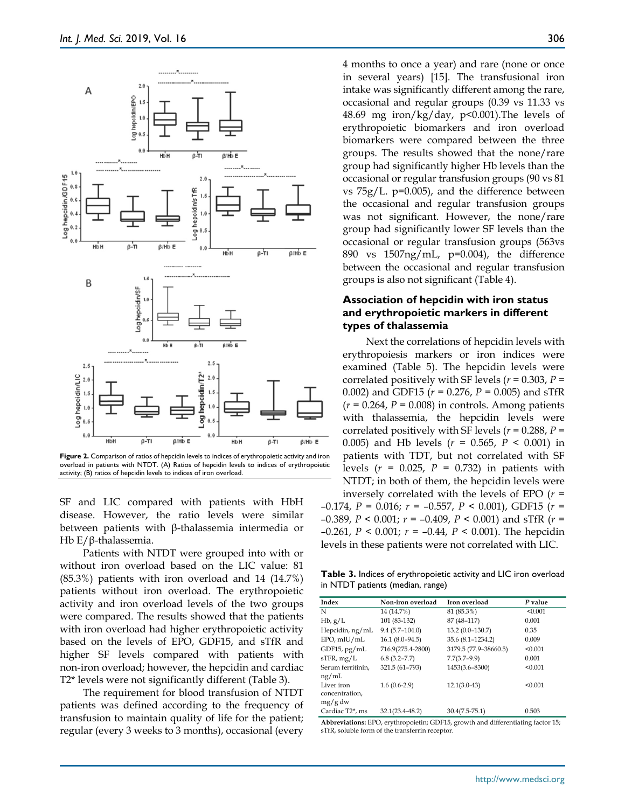

**Figure 2.** Comparison of ratios of hepcidin levels to indices of erythropoietic activity and iron overload in patients with NTDT. (A) Ratios of hepcidin levels to indices of erythropoietic activity; (B) ratios of hepcidin levels to indices of iron overload.

SF and LIC compared with patients with HbH disease. However, the ratio levels were similar between patients with β-thalassemia intermedia or Hb E/β-thalassemia.

Patients with NTDT were grouped into with or without iron overload based on the LIC value: 81 (85.3%) patients with iron overload and 14 (14.7%) patients without iron overload. The erythropoietic activity and iron overload levels of the two groups were compared. The results showed that the patients with iron overload had higher erythropoietic activity based on the levels of EPO, GDF15, and sTfR and higher SF levels compared with patients with non-iron overload; however, the hepcidin and cardiac T2\* levels were not significantly different (Table 3).

The requirement for blood transfusion of NTDT patients was defined according to the frequency of transfusion to maintain quality of life for the patient; regular (every 3 weeks to 3 months), occasional (every 4 months to once a year) and rare (none or once in several years) [15]. The transfusional iron intake was significantly different among the rare, occasional and regular groups (0.39 vs 11.33 vs 48.69 mg iron/kg/day,  $p<0.001$ ). The levels of erythropoietic biomarkers and iron overload biomarkers were compared between the three groups. The results showed that the none/rare group had significantly higher Hb levels than the occasional or regular transfusion groups (90 vs 81 vs 75g/L. p=0.005), and the difference between the occasional and regular transfusion groups was not significant. However, the none/rare group had significantly lower SF levels than the occasional or regular transfusion groups (563vs 890 vs 1507ng/mL, p=0.004), the difference between the occasional and regular transfusion groups is also not significant (Table 4).

# **Association of hepcidin with iron status and erythropoietic markers in different types of thalassemia**

Next the correlations of hepcidin levels with erythropoiesis markers or iron indices were examined (Table 5). The hepcidin levels were correlated positively with SF levels ( $r = 0.303$ ,  $P =$ 0.002) and GDF15 ( $r = 0.276$ ,  $P = 0.005$ ) and sTfR  $(r = 0.264, P = 0.008)$  in controls. Among patients with thalassemia, the hepcidin levels were correlated positively with SF levels ( $r = 0.288$ ,  $P =$ 0.005) and Hb levels (*r* = 0.565, *P* < 0.001) in patients with TDT, but not correlated with SF levels (*r* = 0.025, *P* = 0.732) in patients with NTDT; in both of them, the hepcidin levels were inversely correlated with the levels of EPO (*r* =

–0.174, *P* = 0.016; *r* = –0.557, *P* < 0.001), GDF15 (*r* = –0.389, *P* < 0.001; *r* = –0.409, *P* < 0.001) and sTfR (*r* = –0.261, *P* < 0.001; *r* = –0.44, *P* < 0.001). The hepcidin levels in these patients were not correlated with LIC.

**Table 3.** Indices of erythropoietic activity and LIC iron overload in NTDT patients (median, range)

| Index                        | Non-iron overload   | Iron overload         | P value |
|------------------------------|---------------------|-----------------------|---------|
| N                            | 14 (14.7%)          | 81 (85.3%)            | < 0.001 |
| $Hb$ , $g/L$                 | 101 (83-132)        | 87 (48-117)           | 0.001   |
| Hepcidin, ng/mL              | $9.4(5.7-104.0)$    | 13.2 (0.0-130.7)      | 0.35    |
| EPO, mIU/mL                  | $16.1 (8.0 - 94.5)$ | 35.6 (8.1-1234.2)     | 0.009   |
| GDF15, $pg/mL$               | 716.9(275.4-2800)   | 3179.5 (77.9-38660.5) | < 0.001 |
| $s$ TFR, mg/L                | $6.8(3.2 - 7.7)$    | $7.7(3.7-9.9)$        | 0.001   |
| Serum ferritinin,            | 321.5 (61-793)      | 1453(3.6-8300)        | < 0.001 |
| ng/mL                        |                     |                       |         |
| Liver iron                   | $1.6(0.6-2.9)$      | $12.1(3.0-43)$        | < 0.001 |
| concentration.               |                     |                       |         |
| mg/g dw                      |                     |                       |         |
| Cardiac T <sub>2</sub> *, ms | $32.1(23.4 - 48.2)$ | $30.4(7.5-75.1)$      | 0.503   |

**Abbreviations:** EPO, erythropoietin; GDF15, growth and differentiating factor 15; sTfR, soluble form of the transferrin receptor.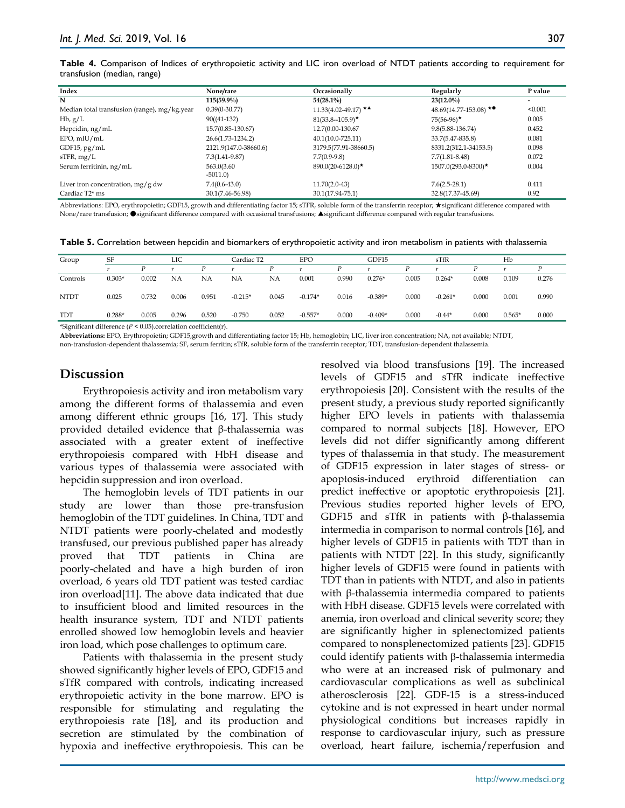|                             |  |  |  |  | Table 4. Comparison of Indices of erythropoietic activity and LIC iron overload of NTDT patients according to requirement for |
|-----------------------------|--|--|--|--|-------------------------------------------------------------------------------------------------------------------------------|
| transfusion (median, range) |  |  |  |  |                                                                                                                               |

| Index                                        | None/rare             | Occasionally             | Regularly                          | P value                  |
|----------------------------------------------|-----------------------|--------------------------|------------------------------------|--------------------------|
| N                                            | $115(59.9\%)$         | $54(28.1\%)$             | $23(12.0\%)$                       | $\overline{\phantom{a}}$ |
| Median total transfusion (range), mg/kg.year | $0.39(0-30.77)$       | $11.33(4.02 - 49.17)$ ** | 48.69(14.77-153.08) $\star\bullet$ | < 0.001                  |
| $Hb$ , $g/L$                                 | $90((41-132))$        | $81(33.8-105.9)$ *       | $75(56-96)$ *                      | 0.005                    |
| Hepcidin, ng/mL                              | 15.7(0.85-130.67)     | 12.7(0.00-130.67         | $9.8(5.88 - 136.74)$               | 0.452                    |
| EPO, mIU/mL                                  | 26.6(1.73-1234.2)     | $40.1(10.0 - 725.11)$    | 33.7(5.47-835.8)                   | 0.081                    |
| $GDF15$ , pg/mL                              | 2121.9(147.0-38660.6) | 3179.5(77.91-38660.5)    | 8331.2(312.1-34153.5)              | 0.098                    |
| $s$ TFR, mg/L                                | $7.3(1.41 - 9.87)$    | $7.7(0.9-9.8)$           | $7.7(1.81 - 8.48)$                 | 0.072                    |
| Serum ferritinin, ng/mL                      | 563.0(3.60            | $890.0(20-6128.0)$ *     | $1507.0(293.0 - 8300)$ *           | 0.004                    |
|                                              | $-5011.0$             |                          |                                    |                          |
| Liver iron concentration, $mg/g dw$          | $7.4(0.6-43.0)$       | $11.70(2.0-43)$          | $7.6(2.5-28.1)$                    | 0.411                    |
| Cardiac T <sub>2</sub> * ms                  | 30.1(7.46-56.98)      | $30.1(17.94 - 75.1)$     | 32.8(17.37-45.69)                  | 0.92                     |

Abbreviations: EPO, erythropoietin; GDF15, growth and differentiating factor 15; sTFR, soluble form of the transferrin receptor; ★significant difference compared with None/rare transfusion; ●significant difference compared with occasional transfusions; ▲significant difference compared with regular transfusions.

|  |  |  | Table 5. Correlation between hepcidin and biomarkers of erythropoietic activity and iron metabolism in patients with thalassemia |
|--|--|--|----------------------------------------------------------------------------------------------------------------------------------|
|--|--|--|----------------------------------------------------------------------------------------------------------------------------------|

| Group       | SF       |       | LIC   |       | EPO<br>Cardiac T2 |       | GDF15<br>sTfR |       |           | Hb    |           |       |          |       |
|-------------|----------|-------|-------|-------|-------------------|-------|---------------|-------|-----------|-------|-----------|-------|----------|-------|
|             |          | D     |       | D     |                   | D     |               | D     |           |       |           |       |          |       |
| Controls    | $0.303*$ | 0.002 | ΝA    | ΝA    | NA                | NΑ    | 0.001         | 0.990 | $0.276*$  | 0.005 | $0.264*$  | 0.008 | 0.109    | 0.276 |
| <b>NTDT</b> | 0.025    | 0.732 | 0.006 | 0.951 | $-0.215*$         | 0.045 | $-0.174*$     | 0.016 | $-0.389*$ | 0.000 | $-0.261*$ | 0.000 | 0.001    | 0.990 |
| TDT         | $0.288*$ | 0.005 | 0.296 | 0.520 | $-0.750$          | 0.052 | $-0.557*$     | 0.000 | $-0.409*$ | 0.000 | $-0.44*$  | 0.000 | $0.565*$ | 0.000 |

\*Significant difference (*P* < 0.05).correlation coefficient(r).

**Abbreviations:** EPO, Erythropoietin; GDF15,growth and differentiating factor 15; Hb, hemoglobin; LIC, liver iron concentration; NA, not available; NTDT,

non-transfusion-dependent thalassemia; SF, serum ferritin; sTfR, soluble form of the transferrin receptor; TDT, transfusion-dependent thalassemia.

# **Discussion**

Erythropoiesis activity and iron metabolism vary among the different forms of thalassemia and even among different ethnic groups [16, 17]. This study provided detailed evidence that β-thalassemia was associated with a greater extent of ineffective erythropoiesis compared with HbH disease and various types of thalassemia were associated with hepcidin suppression and iron overload.

The hemoglobin levels of TDT patients in our study are lower than those pre-transfusion hemoglobin of the TDT guidelines. In China, TDT and NTDT patients were poorly-chelated and modestly transfused, our previous published paper has already proved that TDT patients in China are poorly-chelated and have a high burden of iron overload, 6 years old TDT patient was tested cardiac iron overload[11]. The above data indicated that due to insufficient blood and limited resources in the health insurance system, TDT and NTDT patients enrolled showed low hemoglobin levels and heavier iron load, which pose challenges to optimum care.

Patients with thalassemia in the present study showed significantly higher levels of EPO, GDF15 and sTfR compared with controls, indicating increased erythropoietic activity in the bone marrow. EPO is responsible for stimulating and regulating the erythropoiesis rate [18], and its production and secretion are stimulated by the combination of hypoxia and ineffective erythropoiesis. This can be

resolved via blood transfusions [19]. The increased levels of GDF15 and sTfR indicate ineffective erythropoiesis [20]. Consistent with the results of the present study, a previous study reported significantly higher EPO levels in patients with thalassemia compared to normal subjects [18]. However, EPO levels did not differ significantly among different types of thalassemia in that study. The measurement of GDF15 expression in later stages of stress- or apoptosis-induced erythroid differentiation can predict ineffective or apoptotic erythropoiesis [21]. Previous studies reported higher levels of EPO, GDF15 and sTfR in patients with β-thalassemia intermedia in comparison to normal controls [16], and higher levels of GDF15 in patients with TDT than in patients with NTDT [22]. In this study, significantly higher levels of GDF15 were found in patients with TDT than in patients with NTDT, and also in patients with β-thalassemia intermedia compared to patients with HbH disease. GDF15 levels were correlated with anemia, iron overload and clinical severity score; they are significantly higher in splenectomized patients compared to nonsplenectomized patients [23]. GDF15 could identify patients with β-thalassemia intermedia who were at an increased risk of pulmonary and cardiovascular complications as well as subclinical atherosclerosis [22]. GDF-15 is a stress-induced cytokine and is not expressed in heart under normal physiological conditions but increases rapidly in response to cardiovascular injury, such as pressure overload, heart failure, ischemia/reperfusion and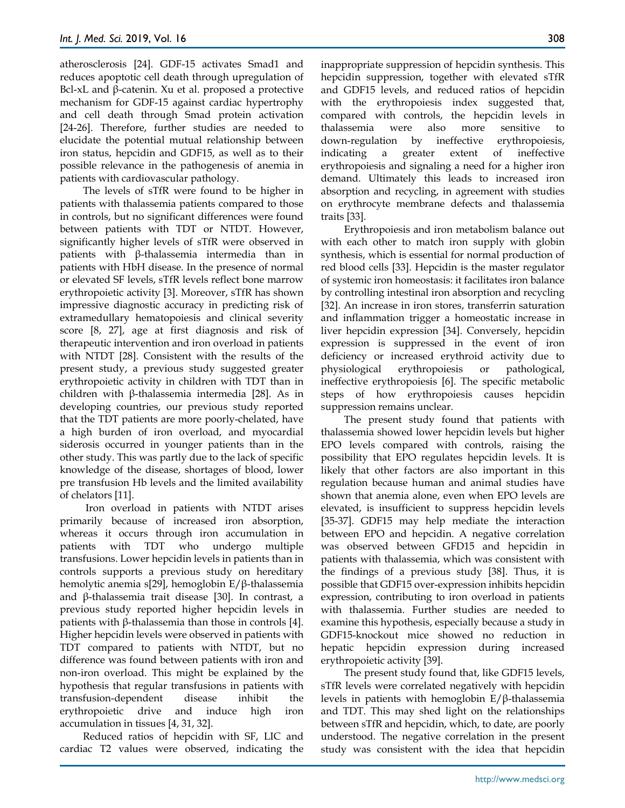atherosclerosis [24]. GDF-15 activates Smad1 and reduces apoptotic cell death through upregulation of Bcl-xL and β-catenin. Xu et al. proposed a protective mechanism for GDF-15 against cardiac hypertrophy and cell death through Smad protein activation [24-26]. Therefore, further studies are needed to elucidate the potential mutual relationship between iron status, hepcidin and GDF15, as well as to their possible relevance in the pathogenesis of anemia in patients with cardiovascular pathology.

The levels of sTfR were found to be higher in patients with thalassemia patients compared to those in controls, but no significant differences were found between patients with TDT or NTDT. However, significantly higher levels of sTfR were observed in patients with β-thalassemia intermedia than in patients with HbH disease. In the presence of normal or elevated SF levels, sTfR levels reflect bone marrow erythropoietic activity [3]. Moreover, sTfR has shown impressive diagnostic accuracy in predicting risk of extramedullary hematopoiesis and clinical severity score [8, 27], age at first diagnosis and risk of therapeutic intervention and iron overload in patients with NTDT [28]. Consistent with the results of the present study, a previous study suggested greater erythropoietic activity in children with TDT than in children with β-thalassemia intermedia [28]. As in developing countries, our previous study reported that the TDT patients are more poorly-chelated, have a high burden of iron overload, and myocardial siderosis occurred in younger patients than in the other study. This was partly due to the lack of specific knowledge of the disease, shortages of blood, lower pre transfusion Hb levels and the limited availability of chelators [11].

Iron overload in patients with NTDT arises primarily because of increased iron absorption, whereas it occurs through iron accumulation in patients with TDT who undergo multiple transfusions. Lower hepcidin levels in patients than in controls supports a previous study on hereditary hemolytic anemia s[29], hemoglobin E/β-thalassemia and β-thalassemia trait disease [30]. In contrast, a previous study reported higher hepcidin levels in patients with β-thalassemia than those in controls [4]. Higher hepcidin levels were observed in patients with TDT compared to patients with NTDT, but no difference was found between patients with iron and non-iron overload. This might be explained by the hypothesis that regular transfusions in patients with transfusion-dependent disease inhibit the erythropoietic drive and induce high iron accumulation in tissues [4, 31, 32].

Reduced ratios of hepcidin with SF, LIC and cardiac T2 values were observed, indicating the inappropriate suppression of hepcidin synthesis. This hepcidin suppression, together with elevated sTfR and GDF15 levels, and reduced ratios of hepcidin with the erythropoiesis index suggested that, compared with controls, the hepcidin levels in thalassemia were also more sensitive to down-regulation by ineffective erythropoiesis, indicating a greater extent of ineffective erythropoiesis and signaling a need for a higher iron demand. Ultimately this leads to increased iron absorption and recycling, in agreement with studies on erythrocyte membrane defects and thalassemia traits [33].

Erythropoiesis and iron metabolism balance out with each other to match iron supply with globin synthesis, which is essential for normal production of red blood cells [33]. Hepcidin is the master regulator of systemic iron homeostasis: it facilitates iron balance by controlling intestinal iron absorption and recycling [32]. An increase in iron stores, transferrin saturation and inflammation trigger a homeostatic increase in liver hepcidin expression [34]. Conversely, hepcidin expression is suppressed in the event of iron deficiency or increased erythroid activity due to physiological erythropoiesis or pathological, ineffective erythropoiesis [6]. The specific metabolic steps of how erythropoiesis causes hepcidin suppression remains unclear.

The present study found that patients with thalassemia showed lower hepcidin levels but higher EPO levels compared with controls, raising the possibility that EPO regulates hepcidin levels. It is likely that other factors are also important in this regulation because human and animal studies have shown that anemia alone, even when EPO levels are elevated, is insufficient to suppress hepcidin levels [35-37]. GDF15 may help mediate the interaction between EPO and hepcidin. A negative correlation was observed between GFD15 and hepcidin in patients with thalassemia, which was consistent with the findings of a previous study [38]. Thus, it is possible that GDF15 over-expression inhibits hepcidin expression, contributing to iron overload in patients with thalassemia. Further studies are needed to examine this hypothesis, especially because a study in GDF15-knockout mice showed no reduction in hepatic hepcidin expression during increased erythropoietic activity [39].

The present study found that, like GDF15 levels, sTfR levels were correlated negatively with hepcidin levels in patients with hemoglobin E/β-thalassemia and TDT. This may shed light on the relationships between sTfR and hepcidin, which, to date, are poorly understood. The negative correlation in the present study was consistent with the idea that hepcidin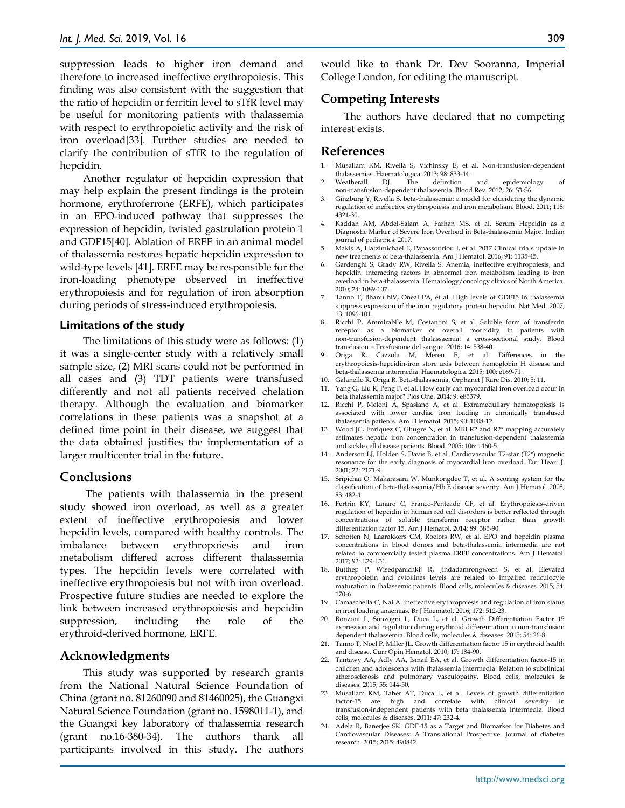suppression leads to higher iron demand and therefore to increased ineffective erythropoiesis. This finding was also consistent with the suggestion that the ratio of hepcidin or ferritin level to sTfR level may be useful for monitoring patients with thalassemia with respect to erythropoietic activity and the risk of iron overload[33]. Further studies are needed to clarify the contribution of sTfR to the regulation of hepcidin.

Another regulator of hepcidin expression that may help explain the present findings is the protein hormone, erythroferrone (ERFE), which participates in an EPO-induced pathway that suppresses the expression of hepcidin, twisted gastrulation protein 1 and GDF15[40]. Ablation of ERFE in an animal model of thalassemia restores hepatic hepcidin expression to wild-type levels [41]. ERFE may be responsible for the iron-loading phenotype observed in ineffective erythropoiesis and for regulation of iron absorption during periods of stress-induced erythropoiesis.

#### **Limitations of the study**

The limitations of this study were as follows: (1) it was a single-center study with a relatively small sample size, (2) MRI scans could not be performed in all cases and (3) TDT patients were transfused differently and not all patients received chelation therapy. Although the evaluation and biomarker correlations in these patients was a snapshot at a defined time point in their disease, we suggest that the data obtained justifies the implementation of a larger multicenter trial in the future.

#### **Conclusions**

The patients with thalassemia in the present study showed iron overload, as well as a greater extent of ineffective erythropoiesis and lower hepcidin levels, compared with healthy controls. The imbalance between erythropoiesis and iron metabolism differed across different thalassemia types. The hepcidin levels were correlated with ineffective erythropoiesis but not with iron overload. Prospective future studies are needed to explore the link between increased erythropoiesis and hepcidin suppression, including the role of the erythroid-derived hormone, ERFE.

#### **Acknowledgments**

This study was supported by research grants from the National Natural Science Foundation of China (grant no. 81260090 and 81460025), the Guangxi Natural Science Foundation (grant no. 1598011-1), and the Guangxi key laboratory of thalassemia research (grant no.16-380-34). The authors thank all participants involved in this study. The authors

would like to thank Dr. Dev Sooranna, Imperial College London, for editing the manuscript.

# **Competing Interests**

The authors have declared that no competing interest exists.

#### **References**

- 1. Musallam KM, Rivella S, Vichinsky E, et al. Non-transfusion-dependent thalassemias. Haematologica. 2013; 98: 833-44.<br>Weatherall DI. The definition
- 2. Weatherall DJ. The definition and epidemiology of non-transfusion-dependent thalassemia. Blood Rev. 2012; 26: S3-S6.
- 3. Ginzburg Y, Rivella S. beta-thalassemia: a model for elucidating the dynamic regulation of ineffective erythropoiesis and iron metabolism. Blood. 2011; 118: 4321-30.
- 4. Kaddah AM, Abdel-Salam A, Farhan MS, et al. Serum Hepcidin as a Diagnostic Marker of Severe Iron Overload in Beta-thalassemia Major. Indian journal of pediatrics. 2017.
- 5. Makis A, Hatzimichael E, Papassotiriou I, et al. 2017 Clinical trials update in new treatments of beta-thalassemia. Am J Hematol. 2016; 91: 1135-45.
- 6. Gardenghi S, Grady RW, Rivella S. Anemia, ineffective erythropoiesis, and hepcidin: interacting factors in abnormal iron metabolism leading to iron overload in beta-thalassemia. Hematology/oncology clinics of North America. 2010; 24: 1089-107.
- 7. Tanno T, Bhanu NV, Oneal PA, et al. High levels of GDF15 in thalassemia suppress expression of the iron regulatory protein hepcidin. Nat Med. 2007; 13: 1096-101.
- 8. Ricchi P, Ammirabile M, Costantini S, et al. Soluble form of transferrin receptor as a biomarker of overall morbidity in patients with non-transfusion-dependent thalassaemia: a cross-sectional study. Blood transfusion = Trasfusione del sangue. 2016; 14: 538-40.
- 9. Origa R, Cazzola M, Mereu E, et al. Differences in the erythropoiesis-hepcidin-iron store axis between hemoglobin H disease and beta-thalassemia intermedia. Haematologica. 2015; 100: e169-71.
- 10. Galanello R, Origa R. Beta-thalassemia. Orphanet J Rare Dis. 2010; 5: 11.
- 11. Yang G, Liu R, Peng P, et al. How early can myocardial iron overload occur in beta thalassemia major? Plos One. 2014; 9: e85379.
- 12. Ricchi P, Meloni A, Spasiano A, et al. Extramedullary hematopoiesis is associated with lower cardiac iron loading in chronically transfused thalassemia patients. Am J Hematol. 2015; 90: 1008-12.
- 13. Wood JC, Enriquez C, Ghugre N, et al. MRI R2 and R2\* mapping accurately estimates hepatic iron concentration in transfusion-dependent thalassemia and sickle cell disease patients. Blood. 2005; 106: 1460-5.
- 14. Anderson LJ, Holden S, Davis B, et al. Cardiovascular T2-star (T2\*) magnetic resonance for the early diagnosis of myocardial iron overload. Eur Heart J. 2001; 22: 2171-9.
- 15. Sripichai O, Makarasara W, Munkongdee T, et al. A scoring system for the classification of beta-thalassemia/Hb E disease severity. Am J Hematol. 2008; 83: 482-4.
- 16. Fertrin KY, Lanaro C, Franco-Penteado CF, et al. Erythropoiesis-driven regulation of hepcidin in human red cell disorders is better reflected through concentrations of soluble transferrin receptor rather than growth differentiation factor 15. Am J Hematol. 2014; 89: 385-90.
- 17. Schotten N, Laarakkers CM, Roelofs RW, et al. EPO and hepcidin plasma concentrations in blood donors and beta-thalassemia intermedia are not related to commercially tested plasma ERFE concentrations. Am J Hematol. 2017; 92: E29-E31.
- 18. Butthep P, Wisedpanichkij R, Jindadamrongwech S, et al. Elevated erythropoietin and cytokines levels are related to impaired reticulocyte maturation in thalassemic patients. Blood cells, molecules & diseases. 2015; 54: 170-6.
- 19. Camaschella C, Nai A. Ineffective erythropoiesis and regulation of iron status in iron loading anaemias. Br J Haematol. 2016; 172: 512-23.
- 20. Ronzoni L, Sonzogni L, Duca L, et al. Growth Differentiation Factor 15 expression and regulation during erythroid differentiation in non-transfusion dependent thalassemia. Blood cells, molecules & diseases. 2015; 54: 26-8.
- 21. Tanno T, Noel P, Miller JL. Growth differentiation factor 15 in erythroid health and disease. Curr Opin Hematol. 2010; 17: 184-90.
- 22. Tantawy AA, Adly AA, Ismail EA, et al. Growth differentiation factor-15 in children and adolescents with thalassemia intermedia: Relation to subclinical atherosclerosis and pulmonary vasculopathy. Blood cells, molecules & diseases. 2015; 55: 144-50.
- 23. Musallam KM, Taher AT, Duca L, et al. Levels of growth differentiation factor-15 are high and correlate with clinical severity transfusion-independent patients with beta thalassemia intermedia. Blood cells, molecules & diseases. 2011; 47: 232-4.
- 24. Adela R, Banerjee SK. GDF-15 as a Target and Biomarker for Diabetes and Cardiovascular Diseases: A Translational Prospective. Journal of diabetes research. 2015; 2015: 490842.